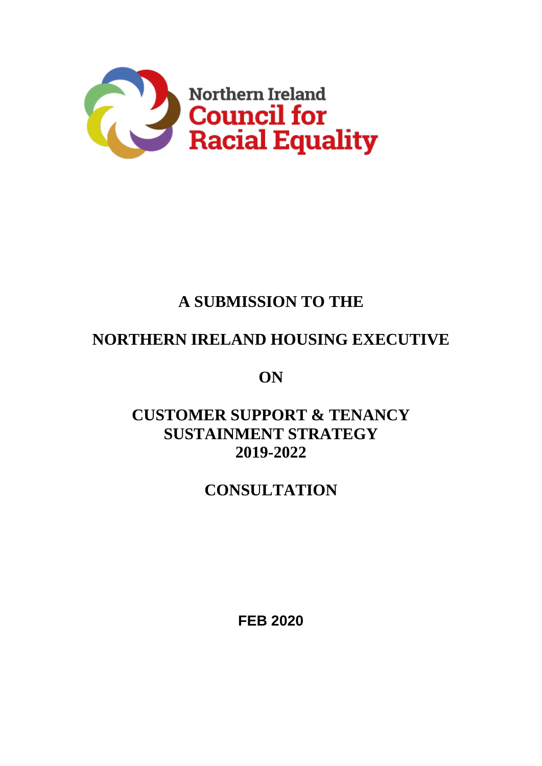

# **A SUBMISSION TO THE**

# **NORTHERN IRELAND HOUSING EXECUTIVE**

**ON**

**CUSTOMER SUPPORT & TENANCY SUSTAINMENT STRATEGY 2019-2022**

# **CONSULTATION**

**FEB 2020**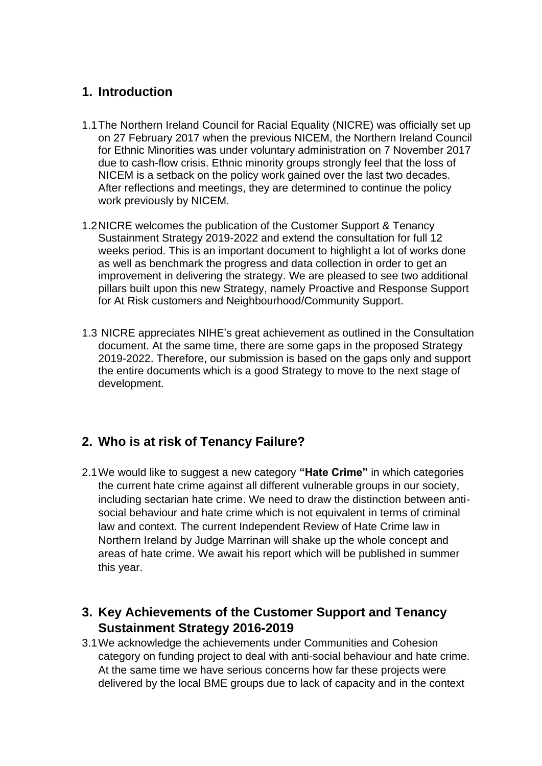### **1. Introduction**

- 1.1The Northern Ireland Council for Racial Equality (NICRE) was officially set up on 27 February 2017 when the previous NICEM, the Northern Ireland Council for Ethnic Minorities was under voluntary administration on 7 November 2017 due to cash-flow crisis. Ethnic minority groups strongly feel that the loss of NICEM is a setback on the policy work gained over the last two decades. After reflections and meetings, they are determined to continue the policy work previously by NICEM.
- 1.2NICRE welcomes the publication of the Customer Support & Tenancy Sustainment Strategy 2019-2022 and extend the consultation for full 12 weeks period. This is an important document to highlight a lot of works done as well as benchmark the progress and data collection in order to get an improvement in delivering the strategy. We are pleased to see two additional pillars built upon this new Strategy, namely Proactive and Response Support for At Risk customers and Neighbourhood/Community Support.
- 1.3 NICRE appreciates NIHE's great achievement as outlined in the Consultation document. At the same time, there are some gaps in the proposed Strategy 2019-2022. Therefore, our submission is based on the gaps only and support the entire documents which is a good Strategy to move to the next stage of development.

### **2. Who is at risk of Tenancy Failure?**

2.1We would like to suggest a new category **"Hate Crime"** in which categories the current hate crime against all different vulnerable groups in our society, including sectarian hate crime. We need to draw the distinction between antisocial behaviour and hate crime which is not equivalent in terms of criminal law and context. The current Independent Review of Hate Crime law in Northern Ireland by Judge Marrinan will shake up the whole concept and areas of hate crime. We await his report which will be published in summer this year.

### **3. Key Achievements of the Customer Support and Tenancy Sustainment Strategy 2016-2019**

3.1We acknowledge the achievements under Communities and Cohesion category on funding project to deal with anti-social behaviour and hate crime. At the same time we have serious concerns how far these projects were delivered by the local BME groups due to lack of capacity and in the context